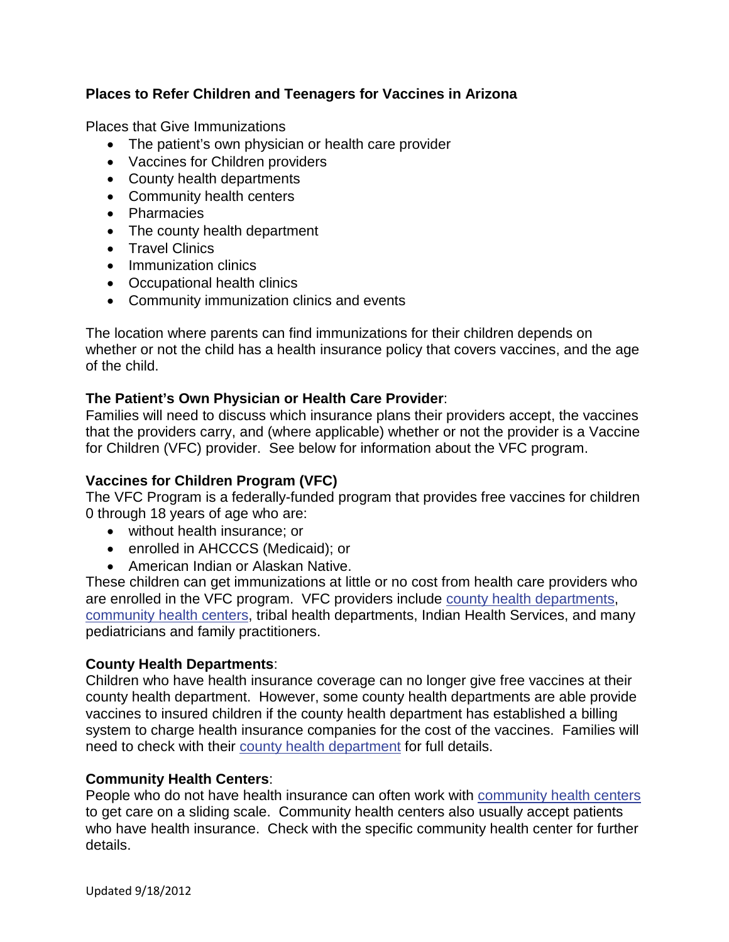# **Places to Refer Children and Teenagers for Vaccines in Arizona**

Places that Give Immunizations

- The patient's own physician or health care provider
- Vaccines for Children providers
- County health departments
- Community health centers
- Pharmacies
- The county health department
- Travel Clinics
- Immunization clinics
- Occupational health clinics
- Community immunization clinics and events

The location where parents can find immunizations for their children depends on whether or not the child has a health insurance policy that covers vaccines, and the age of the child.

## **The Patient's Own Physician or Health Care Provider**:

Families will need to discuss which insurance plans their providers accept, the vaccines that the providers carry, and (where applicable) whether or not the provider is a Vaccine for Children (VFC) provider. See below for information about the VFC program.

## **Vaccines for Children Program (VFC)**

The VFC Program is a federally-funded program that provides free vaccines for children 0 through 18 years of age who are:

- without health insurance; or
- enrolled in AHCCCS (Medicaid); or
- American Indian or Alaskan Native.

These children can get immunizations at little or no cost from health care providers who are enrolled in the VFC program. VFC providers include [county health departments,](http://www.azdhs.gov/diro/LHliaison/countymap.htm) [community health centers,](http://www.aachc.org/aachc-members) tribal health departments, Indian Health Services, and many pediatricians and family practitioners.

## **County Health Departments**:

Children who have health insurance coverage can no longer give free vaccines at their county health department. However, some county health departments are able provide vaccines to insured children if the county health department has established a billing system to charge health insurance companies for the cost of the vaccines. Families will need to check with their [county health department](http://www.azdhs.gov/diro/LHliaison/countymap.htm) for full details.

## **Community Health Centers**:

People who do not have health insurance can often work with [community health centers](http://www.aachc.org/aachc-members) to get care on a sliding scale. Community health centers also usually accept patients who have health insurance. Check with the specific community health center for further details.